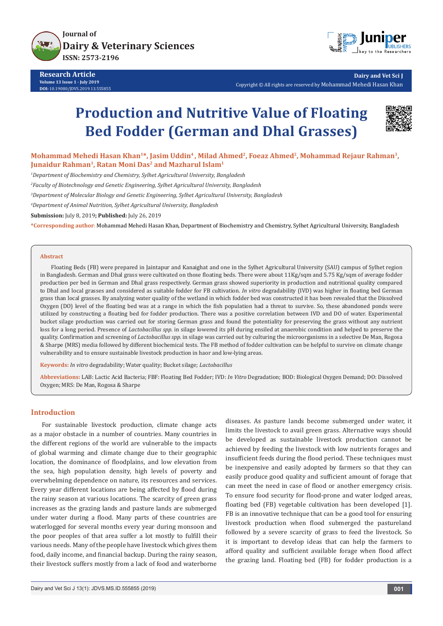



**Dairy and Vet Sci J** Copyright © All rights are reserved by Mohammad Mehedi Hasan Khan

# **Production and Nutritive Value of Floating Bed Fodder (German and Dhal Grasses)**



Mohammad Mehedi Hasan Khan<sup>1\*</sup>, Jasim Uddin<sup>4</sup>, Milad Ahmed<sup>2</sup>, Foeaz Ahmed<sup>2</sup>, Mohammad Rejaur Rahman<sup>3</sup>, **Junaidur Rahman1, Ratan Moni Das2 and Mazharul Islam1**

*1 Department of Biochemistry and Chemistry, Sylhet Agricultural University, Bangladesh*

*2 Faculty of Biotechnology and Genetic Engineering, Sylhet Agricultural University, Bangladesh*

*3 Department of Molecular Biology and Genetic Engineering, Sylhet Agricultural University, Bangladesh*

*4 Department of Animal Nutrition, Sylhet Agricultural University, Bangladesh*

**Submission:** July 8, 2019**; Published:** July 26, 2019

**\*Corresponding author**: Mohammad Mehedi Hasan Khan, Department of Biochemistry and Chemistry, Sylhet Agricultural University, Bangladesh

#### **Abstract**

Floating Beds (FB) were prepared in Jaintapur and Kanaighat and one in the Sylhet Agricultural University (SAU) campus of Sylhet region in Bangladesh. German and Dhal grass were cultivated on those floating beds. There were about 11Kg/sqm and 5.75 Kg/sqm of average fodder production per bed in German and Dhal grass respectively. German grass showed superiority in production and nutritional quality compared to Dhal and local grasses and considered as suitable fodder for FB cultivation. *In vitro* degradability (IVD) was higher in floating bed German grass than local grasses. By analyzing water quality of the wetland in which fodder bed was constructed it has been revealed that the Dissolved Oxygen (DO) level of the floating bed was at a range in which the fish population had a threat to survive. So, these abandoned ponds were utilized by constructing a floating bed for fodder production. There was a positive correlation between IVD and DO of water. Experimental bucket silage production was carried out for storing German grass and found the potentiality for preserving the grass without any nutrient loss for a long period. Presence of *Lactobacillus spp*. in silage lowered its pH during ensiled at anaerobic condition and helped to preserve the quality. Confirmation and screening of *Lactobacillus spp*. in silage was carried out by culturing the microorganisms in a selective De Man, Rogosa & Sharpe (MRS) media followed by different biochemical tests. The FB method of fodder cultivation can be helpful to survive on climate change vulnerability and to ensure sustainable livestock production in haor and low-lying areas.

**Keywords:** *In vitro* degradability; Water quality; Bucket silage; *Lactobacillus*

**Abbreviations:** LAB: Lactic Acid Bacteria; FBF: Floating Bed Fodder; IVD: *In Vitro* Degradation; BOD: Biological Oxygen Demand; DO: Dissolved Oxygen; MRS: De Man, Rogosa & Sharpe

## **Introduction**

For sustainable livestock production, climate change acts as a major obstacle in a number of countries. Many countries in the different regions of the world are vulnerable to the impacts of global warming and climate change due to their geographic location, the dominance of floodplains, and low elevation from the sea, high population density, high levels of poverty and overwhelming dependence on nature, its resources and services. Every year different locations are being affected by flood during the rainy season at various locations. The scarcity of green grass increases as the grazing lands and pasture lands are submerged under water during a flood. Many parts of these countries are waterlogged for several months every year during monsoon and the poor peoples of that area suffer a lot mostly to fulfill their various needs. Many of the people have livestock which gives them food, daily income, and financial backup. During the rainy season, their livestock suffers mostly from a lack of food and waterborne

diseases. As pasture lands become submerged under water, it limits the livestock to avail green grass. Alternative ways should be developed as sustainable livestock production cannot be achieved by feeding the livestock with low nutrients forages and insufficient feeds during the flood period. These techniques must be inexpensive and easily adopted by farmers so that they can easily produce good quality and sufficient amount of forage that can meet the need in case of flood or another emergency crisis. To ensure food security for flood-prone and water lodged areas, floating bed (FB) vegetable cultivation has been developed [1]. FB is an innovative technique that can be a good tool for ensuring livestock production when flood submerged the pastureland followed by a severe scarcity of grass to feed the livestock. So it is important to develop ideas that can help the farmers to afford quality and sufficient available forage when flood affect the grazing land. Floating bed (FB) for fodder production is a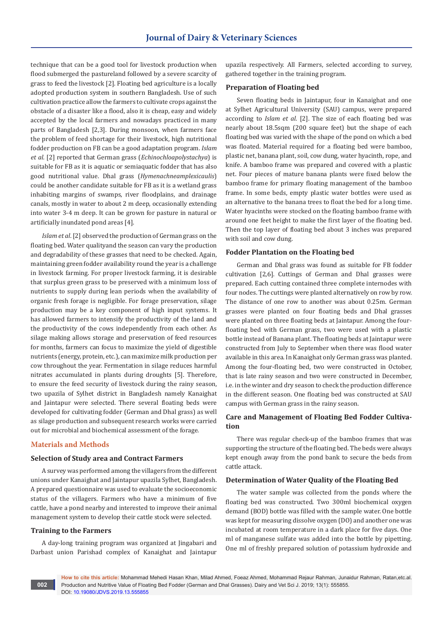technique that can be a good tool for livestock production when flood submerged the pastureland followed by a severe scarcity of grass to feed the livestock [2]. Floating bed agriculture is a locally adopted production system in southern Bangladesh. Use of such cultivation practice allow the farmers to cultivate crops against the obstacle of a disaster like a flood, also it is cheap, easy and widely accepted by the local farmers and nowadays practiced in many parts of Bangladesh [2,3]. During monsoon, when farmers face the problem of feed shortage for their livestock, high nutritional fodder production on FB can be a good adaptation program. *Islam et al.* [2] reported that German grass (*Echinochloapolystachya*) is suitable for FB as it is aquatic or semiaquatic fodder that has also good nutritional value. Dhal grass (*Hymenachneamplexicaulis*) could be another candidate suitable for FB as it is a wetland grass inhabiting margins of swamps, river floodplains, and drainage canals, mostly in water to about 2 m deep, occasionally extending into water 3-4 m deep. It can be grown for pasture in natural or artificially inundated pond areas [4].

*Islam et al*. [2] observed the production of German grass on the floating bed. Water qualityand the season can vary the production and degradability of these grasses that need to be checked. Again, maintaining green fodder availability round the year is a challenge in livestock farming. For proper livestock farming, it is desirable that surplus green grass to be preserved with a minimum loss of nutrients to supply during lean periods when the availability of organic fresh forage is negligible. For forage preservation, silage production may be a key component of high input systems. It has allowed farmers to intensify the productivity of the land and the productivity of the cows independently from each other. As silage making allows storage and preservation of feed resources for months, farmers can focus to maximize the yield of digestible nutrients (energy, protein, etc.), can maximize milk production per cow throughout the year. Fermentation in silage reduces harmful nitrates accumulated in plants during droughts [5]. Therefore, to ensure the feed security of livestock during the rainy season, two upazila of Sylhet district in Bangladesh namely Kanaighat and Jaintapur were selected. There several floating beds were developed for cultivating fodder (German and Dhal grass) as well as silage production and subsequent research works were carried out for microbial and biochemical assessment of the forage.

# **Materials and Methods**

## **Selection of Study area and Contract Farmers**

A survey was performed among the villagers from the different unions under Kanaighat and Jaintapur upazila Sylhet, Bangladesh. A prepared questionnaire was used to evaluate the socioeconomic status of the villagers. Farmers who have a minimum of five cattle, have a pond nearby and interested to improve their animal management system to develop their cattle stock were selected.

## **Training to the Farmers**

A day-long training program was organized at Jingabari and Darbast union Parishad complex of Kanaighat and Jaintapur upazila respectively. All Farmers, selected according to survey, gathered together in the training program.

## **Preparation of Floating bed**

Seven floating beds in Jaintapur, four in Kanaighat and one at Sylhet Agricultural University (SAU) campus, were prepared according to *Islam et al*. [2]. The size of each floating bed was nearly about 18.5sqm (200 square feet) but the shape of each floating bed was varied with the shape of the pond on which a bed was floated. Material required for a floating bed were bamboo, plastic net, banana plant, soil, cow dung, water hyacinth, rope, and knife. A bamboo frame was prepared and covered with a plastic net. Four pieces of mature banana plants were fixed below the bamboo frame for primary floating management of the bamboo frame. In some beds, empty plastic water bottles were used as an alternative to the banana trees to float the bed for a long time. Water hyacinths were stocked on the floating bamboo frame with around one feet height to make the first layer of the floating bed. Then the top layer of floating bed about 3 inches was prepared with soil and cow dung.

#### **Fodder Plantation on the Floating bed**

German and Dhal grass was found as suitable for FB fodder cultivation [2,6]. Cuttings of German and Dhal grasses were prepared. Each cutting contained three complete internodes with four nodes. The cuttings were planted alternatively on row by row. The distance of one row to another was about 0.25m. German grasses were planted on four floating beds and Dhal grasses were planted on three floating beds at Jaintapur. Among the fourfloating bed with German grass, two were used with a plastic bottle instead of Banana plant. The floating beds at Jaintapur were constructed from July to September when there was flood water available in this area. In Kanaighat only German grass was planted. Among the four-floating bed, two were constructed in October, that is late rainy season and two were constructed in December, i.e. in the winter and dry season to check the production difference in the different season. One floating bed was constructed at SAU campus with German grass in the rainy season.

# **Care and Management of Floating Bed Fodder Cultivation**

There was regular check-up of the bamboo frames that was supporting the structure of the floating bed. The beds were always kept enough away from the pond bank to secure the beds from cattle attack.

#### **Determination of Water Quality of the Floating Bed**

The water sample was collected from the ponds where the floating bed was constructed. Two 300ml biochemical oxygen demand (BOD) bottle was filled with the sample water. One bottle was kept for measuring dissolve oxygen (DO) and another one was incubated at room temperature in a dark place for five days. One ml of manganese sulfate was added into the bottle by pipetting. One ml of freshly prepared solution of potassium hydroxide and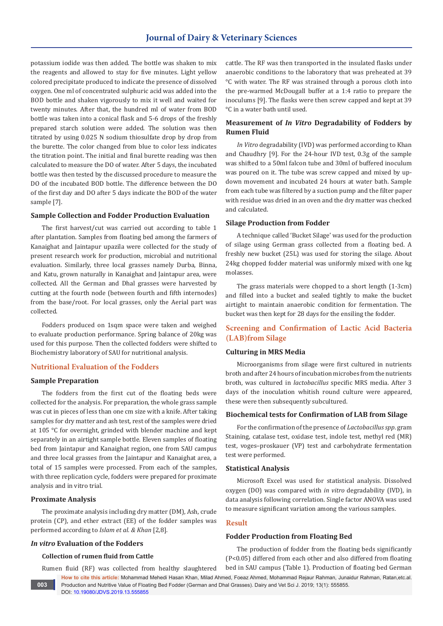potassium iodide was then added. The bottle was shaken to mix the reagents and allowed to stay for five minutes. Light yellow colored precipitate produced to indicate the presence of dissolved oxygen. One ml of concentrated sulphuric acid was added into the BOD bottle and shaken vigorously to mix it well and waited for twenty minutes. After that, the hundred ml of water from BOD bottle was taken into a conical flask and 5-6 drops of the freshly prepared starch solution were added. The solution was then titrated by using 0.025 N sodium thiosulfate drop by drop from the burette. The color changed from blue to color less indicates the titration point. The initial and final burette reading was then calculated to measure the DO of water. After 5 days, the incubated bottle was then tested by the discussed procedure to measure the DO of the incubated BOD bottle. The difference between the DO of the first day and DO after 5 days indicate the BOD of the water sample [7].

## **Sample Collection and Fodder Production Evaluation**

The first harvest/cut was carried out according to table 1 after plantation. Samples from floating bed among the farmers of Kanaighat and Jaintapur upazila were collected for the study of present research work for production, microbial and nutritional evaluation. Similarly, three local grasses namely Durba, Binna, and Katu, grown naturally in Kanaighat and Jaintapur area, were collected. All the German and Dhal grasses were harvested by cutting at the fourth node (between fourth and fifth internodes) from the base/root. For local grasses, only the Aerial part was collected.

Fodders produced on 1sqm space were taken and weighed to evaluate production performance. Spring balance of 20kg was used for this purpose. Then the collected fodders were shifted to Biochemistry laboratory of SAU for nutritional analysis.

## **Nutritional Evaluation of the Fodders**

#### **Sample Preparation**

The fodders from the first cut of the floating beds were collected for the analysis. For preparation, the whole grass sample was cut in pieces of less than one cm size with a knife. After taking samples for dry matter and ash test, rest of the samples were dried at 105 °C for overnight, grinded with blender machine and kept separately in an airtight sample bottle. Eleven samples of floating bed from Jaintapur and Kanaighat region, one from SAU campus and three local grasses from the Jaintapur and Kanaighat area, a total of 15 samples were processed. From each of the samples, with three replication cycle, fodders were prepared for proximate analysis and in vitro trial.

#### **Proximate Analysis**

The proximate analysis including dry matter (DM), Ash, crude protein (CP), and ether extract (EE) of the fodder samples was performed according to *Islam et al. & Khan* [2,8].

## *In vitro* **Evaluation of the Fodders**

## **Collection of rumen fluid from Cattle**

DOI: [10.19080/JDVS.2019.13.555855](http://dx.doi.org/10.19080/JDVS.2019.13.555855)

Rumen fluid (RF) was collected from healthy slaughtered

cattle. The RF was then transported in the insulated flasks under anaerobic conditions to the laboratory that was preheated at 39 °C with water. The RF was strained through a porous cloth into the pre-warmed McDougall buffer at a 1:4 ratio to prepare the inoculums [9]. The flasks were then screw capped and kept at 39 °C in a water bath until used.

# **Measurement of** *In Vitro* **Degradability of Fodders by Rumen Fluid**

*In Vitro* degradability (IVD) was performed according to Khan and Chaudhry [9]. For the 24-hour IVD test, 0.3g of the sample was shifted to a 50ml falcon tube and 30ml of buffered inoculum was poured on it. The tube was screw capped and mixed by updown movement and incubated 24 hours at water bath. Sample from each tube was filtered by a suction pump and the filter paper with residue was dried in an oven and the dry matter was checked and calculated.

#### **Silage Production from Fodder**

A technique called 'Bucket Silage' was used for the production of silage using German grass collected from a floating bed. A freshly new bucket (25L) was used for storing the silage. About 24kg chopped fodder material was uniformly mixed with one kg molasses.

The grass materials were chopped to a short length (1-3cm) and filled into a bucket and sealed tightly to make the bucket airtight to maintain anaerobic condition for fermentation. The bucket was then kept for 28 days for the ensiling the fodder.

# **Screening and Confirmation of Lactic Acid Bacteria (LAB)from Silage**

#### **Culturing in MRS Media**

Microorganisms from silage were first cultured in nutrients broth and after 24 hours of incubation microbes from the nutrients broth, was cultured in *lactobacillus* specific MRS media. After 3 days of the inoculation whitish round culture were appeared, these were then subsequently subcultured.

## **Biochemical tests for Confirmation of LAB from Silage**

For the confirmation of the presence of *Lactobacillus spp*. gram Staining, catalase test, oxidase test, indole test, methyl red (MR) test, voges–proskauer (VP) test and carbohydrate fermentation test were performed.

#### **Statistical Analysis**

Microsoft Excel was used for statistical analysis. Dissolved oxygen (DO) was compared with *in vitro* degradability (IVD), in data analysis following correlation. Single factor ANOVA was used to measure significant variation among the various samples.

## **Result**

Production and Nutritive Value of Floating Bed Fodder (German and Dhal Grasses). Dairy and Vet Sci J. 2019; 13(1): 555855.

#### **Fodder Production from Floating Bed**

**How to cite this article:** Mohammad Mehedi Hasan Khan, Milad Ahmed, Foeaz Ahmed, Mohammad Rejaur Rahman, Junaidur Rahman, Ratan,etc.al. The production of fodder from the floating beds significantly (P<0.05) differed from each other and also differed from floating bed in SAU campus (Table 1). Production of floating bed German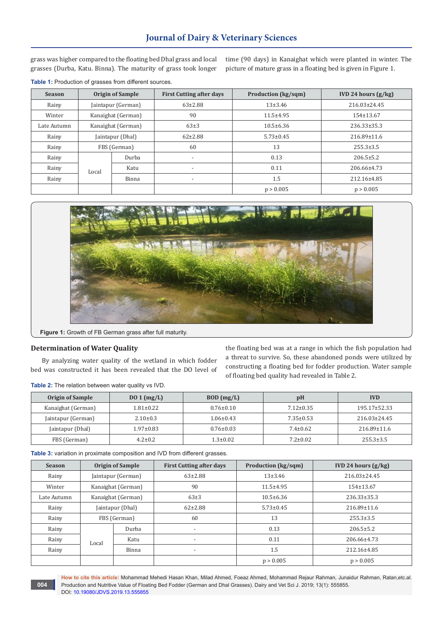# **Journal of Dairy & Veterinary Sciences**

grass was higher compared to the floating bed Dhal grass and local grasses (Durba, Katu. Binna). The maturity of grass took longer time (90 days) in Kanaighat which were planted in winter. The picture of mature grass in a floating bed is given in Figure 1.

| <b>Season</b> | <b>Origin of Sample</b> |       | <b>First Cutting after days</b> | <b>Production (kg/sqm)</b> | <b>IVD 24 hours <math>(g/kg)</math></b> |
|---------------|-------------------------|-------|---------------------------------|----------------------------|-----------------------------------------|
| Rainy         | Jaintapur (German)      |       | $63 \pm 2.88$                   | $13+3.46$                  | $216.03 \pm 24.45$                      |
| Winter        | Kanaighat (German)      |       | 90                              | $11.5 + 4.95$              | 154±13.67                               |
| Late Autumn   | Kanaighat (German)      |       | $63\pm3$                        | $10.5 \pm 6.36$            | $236.33 \pm 35.3$                       |
| Rainy         | Jaintapur (Dhal)        |       | $62 \pm 2.88$                   | $5.73 \pm 0.45$            | $216.89 \pm 11.6$                       |
| Rainy         | FBS (German)            |       | 60                              | 13                         | $255.3 \pm 3.5$                         |
| Rainy         |                         | Durba | $\overline{\phantom{a}}$        | 0.13                       | $206.5 \pm 5.2$                         |
| Rainy         | Local                   | Katu  | $\overline{\phantom{a}}$        | 0.11                       | 206.66±4.73                             |
| Rainy         |                         | Binna | $\overline{\phantom{a}}$        | 1.5                        | 212.16±4.85                             |
|               |                         |       |                                 | p > 0.005                  | p > 0.005                               |

**Table 1:** Production of grasses from different sources.



**Figure 1:** Growth of FB German grass after full maturity.

#### **Determination of Water Quality**

.

By analyzing water quality of the wetland in which fodder bed was constructed it has been revealed that the DO level of

the floating bed was at a range in which the fish population had a threat to survive. So, these abandoned ponds were utilized by constructing a floating bed for fodder production. Water sample of floating bed quality had revealed in Table 2.

**Table 2:** The relation between water quality vs IVD.

| <b>Origin of Sample</b> | $D01$ (mg/L)    | $BOD$ (mg/L)    | pH              | <b>IVD</b>         |
|-------------------------|-----------------|-----------------|-----------------|--------------------|
| Kanaighat (German)      | $1.81 \pm 0.22$ | $0.76 \pm 0.10$ | $7.12 \pm 0.35$ | $195.17 \pm 52.33$ |
| Jaintapur (German)      | $2.10 \pm 0.3$  | $1.06 \pm 0.43$ | $7.35 \pm 0.53$ | $216.03 \pm 24.45$ |
| Jaintapur (Dhal)        | $1.97 \pm 0.83$ | $0.76 \pm 0.03$ | $7.4 \pm 0.62$  | $216.89 \pm 11.6$  |
| FBS (German)            | $4.2 \pm 0.2$   | $1.3 \pm 0.02$  | $7.2 \pm 0.02$  | $255.3 \pm 3.5$    |

**Table 3:** variation in proximate composition and IVD from different grasses.

| <b>Season</b> | <b>Origin of Sample</b> |       | <b>First Cutting after days</b> | <b>Production (kg/sqm)</b> | IVD 24 hours $(g/kg)$ |
|---------------|-------------------------|-------|---------------------------------|----------------------------|-----------------------|
| Rainy         | Jaintapur (German)      |       | $63 \pm 2.88$                   | $13+3.46$                  | 216.03±24.45          |
| Winter        | Kanaighat (German)      |       | 90                              | $11.5 \pm 4.95$            | 154±13.67             |
| Late Autumn   | Kanaighat (German)      |       | $63\pm3$                        | $10.5 \pm 6.36$            | $236.33 \pm 35.3$     |
| Rainy         | Jaintapur (Dhal)        |       | $62 \pm 2.88$                   | $5.73 \pm 0.45$            | 216.89±11.6           |
| Rainy         | FBS (German)            |       | 60                              | 13                         | $255.3 \pm 3.5$       |
| Rainy         |                         | Durba | $\overline{\phantom{a}}$        | 0.13                       | $206.5 \pm 5.2$       |
| Rainy         | Local                   | Katu  | $\overline{\phantom{a}}$        | 0.11                       | 206.66±4.73           |
| Rainy         |                         | Binna | $\overline{\phantom{a}}$        | 1.5                        | 212.16±4.85           |
|               |                         |       |                                 | p > 0.005                  | p > 0.005             |

**How to cite this article:** Mohammad Mehedi Hasan Khan, Milad Ahmed, Foeaz Ahmed, Mohammad Rejaur Rahman, Junaidur Rahman, Ratan,etc.al. Production and Nutritive Value of Floating Bed Fodder (German and Dhal Grasses). Dairy and Vet Sci J. 2019; 13(1): 555855. DOI: [10.19080/JDVS.2019.13.555855](http://dx.doi.org/10.19080/JDVS.2019.13.555855)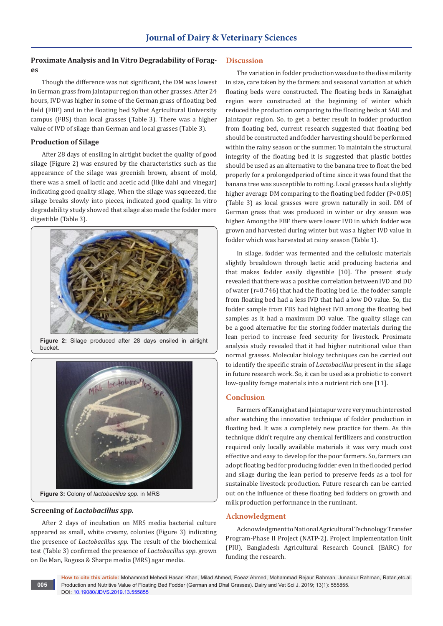# **Proximate Analysis and In Vitro Degradability of Forages**

Though the difference was not significant, the DM was lowest in German grass from Jaintapur region than other grasses. After 24 hours, IVD was higher in some of the German grass of floating bed field (FBF) and in the floating bed Sylhet Agricultural University campus (FBS) than local grasses (Table 3). There was a higher value of IVD of silage than German and local grasses (Table 3).

## **Production of Silage**

After 28 days of ensiling in airtight bucket the quality of good silage (Figure 2) was ensured by the characteristics such as the appearance of the silage was greenish brown, absent of mold, there was a smell of lactic and acetic acid (like dahi and vinegar) indicating good quality silage, When the silage was squeezed, the silage breaks slowly into pieces, indicated good quality. In vitro degradability study showed that silage also made the fodder more digestible (Table 3).



**Figure 2:** Silage produced after 28 days ensiled in airtight bucket.



# **Screening of** *Lactobacillus spp.*

**005**

After 2 days of incubation on MRS media bacterial culture appeared as small, white creamy, colonies (Figure 3) indicating the presence of *Lactobacillus spp*. The result of the biochemical test (Table 3) confirmed the presence of *Lactobacillus spp*. grown on De Man, Rogosa & Sharpe media (MRS) agar media.

## **Discussion**

The variation in fodder production was due to the dissimilarity in size, care taken by the farmers and seasonal variation at which floating beds were constructed. The floating beds in Kanaighat region were constructed at the beginning of winter which reduced the production comparing to the floating beds at SAU and Jaintapur region. So, to get a better result in fodder production from floating bed, current research suggested that floating bed should be constructed and fodder harvesting should be performed within the rainy season or the summer. To maintain the structural integrity of the floating bed it is suggested that plastic bottles should be used as an alternative to the banana tree to float the bed properly for a prolongedperiod of time since it was found that the banana tree was susceptible to rotting. Local grasses had a slightly higher average DM comparing to the floating bed fodder (P<0.05) (Table 3) as local grasses were grown naturally in soil. DM of German grass that was produced in winter or dry season was higher. Among the FBF there were lower IVD in which fodder was grown and harvested during winter but was a higher IVD value in fodder which was harvested at rainy season (Table 1).

In silage, fodder was fermented and the cellulosic materials slightly breakdown through lactic acid producing bacteria and that makes fodder easily digestible [10]. The present study revealed that there was a positive correlation between IVD and DO of water (r=0.746) that had the floating bed i.e. the fodder sample from floating bed had a less IVD that had a low DO value. So, the fodder sample from FBS had highest IVD among the floating bed samples as it had a maximum DO value. The quality silage can be a good alternative for the storing fodder materials during the lean period to increase feed security for livestock. Proximate analysis study revealed that it had higher nutritional value than normal grasses. Molecular biology techniques can be carried out to identify the specific strain of *Lactobacillus* present in the silage in future research work. So, it can be used as a probiotic to convert low-quality forage materials into a nutrient rich one [11].

# **Conclusion**

Farmers of Kanaighat and Jaintapur were very much interested after watching the innovative technique of fodder production in floating bed. It was a completely new practice for them. As this technique didn't require any chemical fertilizers and construction required only locally available materials it was very much cost effective and easy to develop for the poor farmers. So, farmers can adopt floating bed for producing fodder even in the flooded period and silage during the lean period to preserve feeds as a tool for sustainable livestock production. Future research can be carried out on the influence of these floating bed fodders on growth and milk production performance in the ruminant.

# **Acknowledgment**

Acknowledgment to National Agricultural Technology Transfer Program-Phase II Project (NATP-2), Project Implementation Unit (PIU), Bangladesh Agricultural Research Council (BARC) for funding the research.